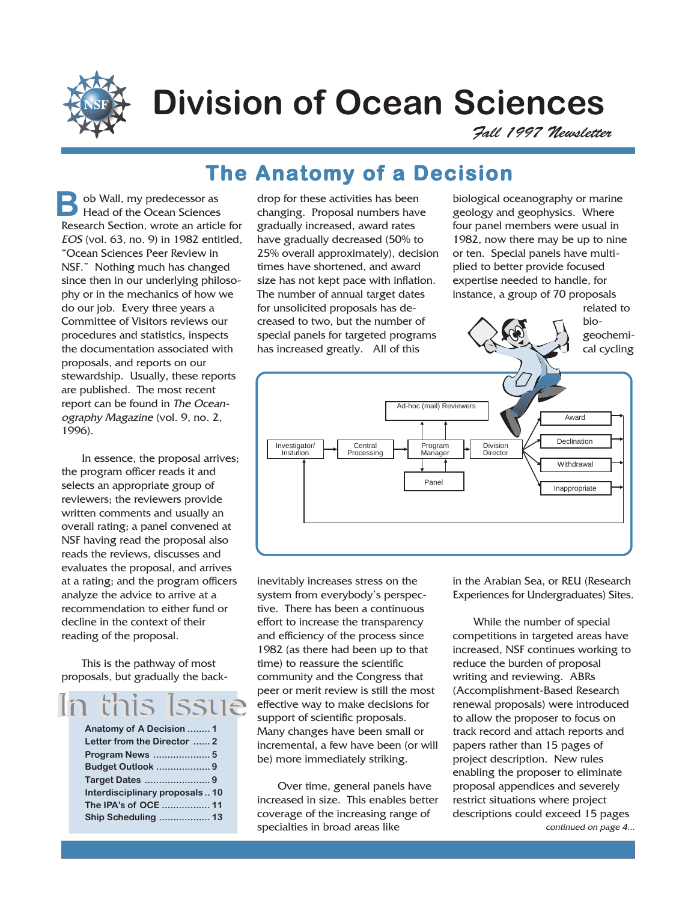

# **Division of Ocean Sciences**

Fall 1997 Newsletter

**The Anatomy of a Decision**

ob Wall, my predecessor as Head of the Ocean Sciences Research Section, wrote an article for EOS (vol. 63, no. 9) in 1982 entitled, "Ocean Sciences Peer Review in NSF." Nothing much has changed since then in our underlying philosophy or in the mechanics of how we do our job. Every three years a Committee of Visitors reviews our procedures and statistics, inspects the documentation associated with proposals, and reports on our stewardship. Usually, these reports are published. The most recent report can be found in The Oceanography Magazine (vol. 9, no. 2, 1996). **B**

In essence, the proposal arrives; the program officer reads it and selects an appropriate group of reviewers; the reviewers provide written comments and usually an overall rating; a panel convened at NSF having read the proposal also reads the reviews, discusses and evaluates the proposal, and arrives at a rating; and the program officers analyze the advice to arrive at a recommendation to either fund or decline in the context of their reading of the proposal.

This is the pathway of most proposals, but gradually the back-

# In this Issue

| Anatomy of A Decision  1      |  |
|-------------------------------|--|
| Letter from the Director  2   |  |
|                               |  |
| <b>Budget Outlook  9</b>      |  |
| Target Dates 9                |  |
| Interdisciplinary proposals10 |  |
| The IPA's of OCE  11          |  |
| Ship Scheduling  13           |  |
|                               |  |

drop for these activities has been changing. Proposal numbers have gradually increased, award rates have gradually decreased (50% to 25% overall approximately), decision times have shortened, and award size has not kept pace with inflation. The number of annual target dates for unsolicited proposals has decreased to two, but the number of special panels for targeted programs has increased greatly. All of this

biological oceanography or marine geology and geophysics. Where four panel members were usual in 1982, now there may be up to nine or ten. Special panels have multiplied to better provide focused expertise needed to handle, for instance, a group of 70 proposals

related to



inevitably increases stress on the system from everybody's perspective. There has been a continuous effort to increase the transparency and efficiency of the process since 1982 (as there had been up to that time) to reassure the scientific community and the Congress that peer or merit review is still the most effective way to make decisions for support of scientific proposals. Many changes have been small or incremental, a few have been (or will be) more immediately striking.

Over time, general panels have increased in size. This enables better coverage of the increasing range of specialties in broad areas like

in the Arabian Sea, or REU (Research Experiences for Undergraduates) Sites.

continued on page 4... While the number of special competitions in targeted areas have increased, NSF continues working to reduce the burden of proposal writing and reviewing. ABRs (Accomplishment-Based Research renewal proposals) were introduced to allow the proposer to focus on track record and attach reports and papers rather than 15 pages of project description. New rules enabling the proposer to eliminate proposal appendices and severely restrict situations where project descriptions could exceed 15 pages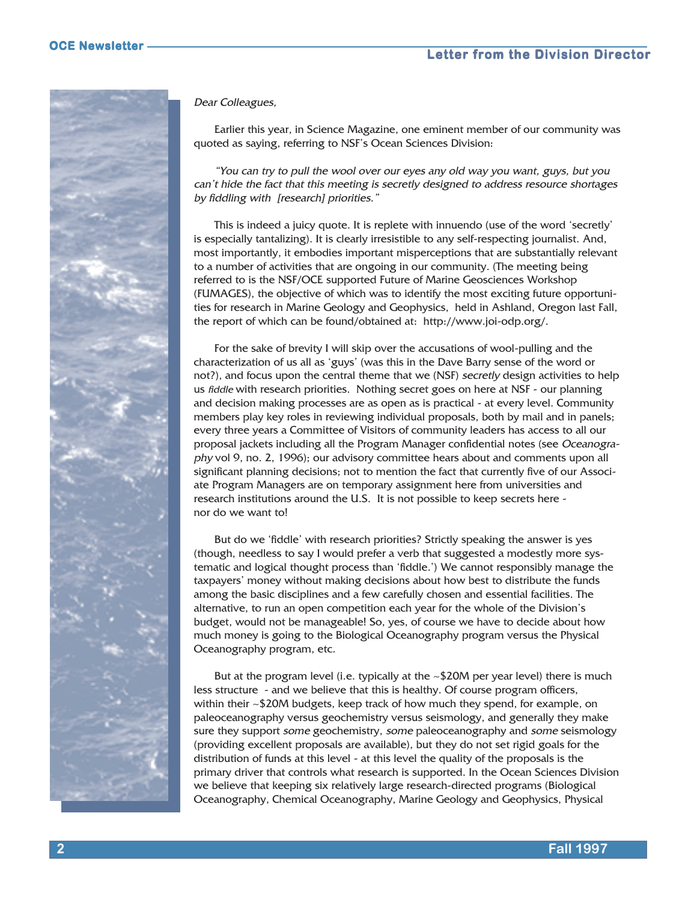

Dear Colleagues,

Earlier this year, in Science Magazine, one eminent member of our community was quoted as saying, referring to NSF's Ocean Sciences Division:

"You can try to pull the wool over our eyes any old way you want, guys, but you can't hide the fact that this meeting is secretly designed to address resource shortages by fiddling with [research] priorities."

This is indeed a juicy quote. It is replete with innuendo (use of the word 'secretly' is especially tantalizing). It is clearly irresistible to any self-respecting journalist. And, most importantly, it embodies important misperceptions that are substantially relevant to a number of activities that are ongoing in our community. (The meeting being referred to is the NSF/OCE supported Future of Marine Geosciences Workshop (FUMAGES), the objective of which was to identify the most exciting future opportunities for research in Marine Geology and Geophysics, held in Ashland, Oregon last Fall, the report of which can be found/obtained at: http://www.joi-odp.org/.

For the sake of brevity I will skip over the accusations of wool-pulling and the characterization of us all as 'guys' (was this in the Dave Barry sense of the word or not?), and focus upon the central theme that we (NSF) secretly design activities to help us fiddle with research priorities. Nothing secret goes on here at NSF - our planning and decision making processes are as open as is practical - at every level. Community members play key roles in reviewing individual proposals, both by mail and in panels; every three years a Committee of Visitors of community leaders has access to all our proposal jackets including all the Program Manager confidential notes (see Oceanography vol 9, no. 2, 1996); our advisory committee hears about and comments upon all significant planning decisions; not to mention the fact that currently five of our Associate Program Managers are on temporary assignment here from universities and research institutions around the U.S. It is not possible to keep secrets here nor do we want to!

But do we 'fiddle' with research priorities? Strictly speaking the answer is yes (though, needless to say I would prefer a verb that suggested a modestly more systematic and logical thought process than 'fiddle.') We cannot responsibly manage the taxpayers' money without making decisions about how best to distribute the funds among the basic disciplines and a few carefully chosen and essential facilities. The alternative, to run an open competition each year for the whole of the Division's budget, would not be manageable! So, yes, of course we have to decide about how much money is going to the Biological Oceanography program versus the Physical Oceanography program, etc.

But at the program level (i.e. typically at the  $\sim$ \$20M per year level) there is much less structure - and we believe that this is healthy. Of course program officers, within their ~\$20M budgets, keep track of how much they spend, for example, on paleoceanography versus geochemistry versus seismology, and generally they make sure they support some geochemistry, some paleoceanography and some seismology (providing excellent proposals are available), but they do not set rigid goals for the distribution of funds at this level - at this level the quality of the proposals is the primary driver that controls what research is supported. In the Ocean Sciences Division we believe that keeping six relatively large research-directed programs (Biological Oceanography, Chemical Oceanography, Marine Geology and Geophysics, Physical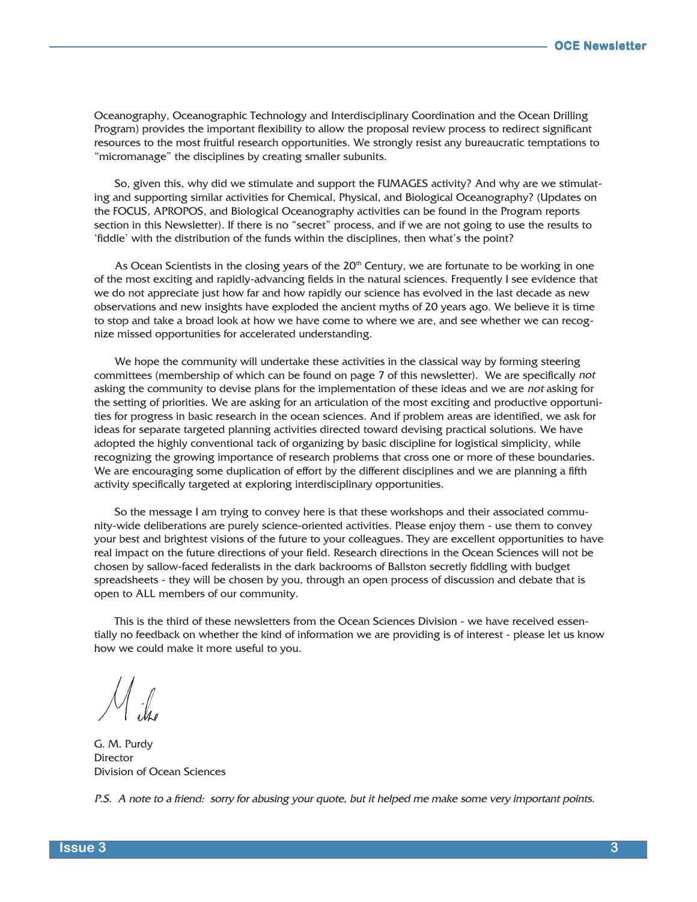Oceanography, Oceanographic Technology and Interdisciplinary Coordination and the Ocean Drilling Program) provides the important flexibility to allow the proposal review process to redirect significant resources to the most fruitful research opportunities. We strongly resist any bureaucratic temptations to "micromanage" the disciplines by creating smaller subunits.

So, given this, why did we stimulate and support the FUMAGES activity? And why are we stimulating and supporting similar activities for Chemical, Physical, and Biological Oceanography? (Updates on the FOCUS, APROPOS, and Biological Oceanography activities can be found in the Program reports section in this Newsletter). If there is no "secret" process, and if we are not going to use the results to 'fiddle' with the distribution of the funds within the disciplines, then what's the point?

As Ocean Scientists in the closing years of the  $20<sup>th</sup>$  Century, we are fortunate to be working in one of the most exciting and rapidly-advancing fields in the natural sciences. Frequently I see evidence that we do not appreciate just how far and how rapidly our science has evolved in the last decade as new observations and new insights have exploded the ancient myths of 20 years ago. We believe it is time to stop and take a broad look at how we have come to where we are, and see whether we can recognize missed opportunities for accelerated understanding.

We hope the community will undertake these activities in the classical way by forming steering committees (membership of which can be found on page 7 of this newsletter). We are specifically not asking the community to devise plans for the implementation of these ideas and we are not asking for the setting of priorities. We are asking for an articulation of the most exciting and productive opportunities for progress in basic research in the ocean sciences. And if problem areas are identified, we ask for ideas for separate targeted planning activities directed toward devising practical solutions. We have adopted the highly conventional tack of organizing by basic discipline for logistical simplicity, while recognizing the growing importance of research problems that cross one or more of these boundaries. We are encouraging some duplication of effort by the different disciplines and we are planning a fifth activity specifically targeted at exploring interdisciplinary opportunities.

So the message I am trying to convey here is that these workshops and their associated community-wide deliberations are purely science-oriented activities. Please enjoy them - use them to convey your best and brightest visions of the future to your colleagues. They are excellent opportunities to have real impact on the future directions of your field. Research directions in the Ocean Sciences will not be chosen by sallow-faced federalists in the dark backrooms of Ballston secretly fiddling with budget spreadsheets - they will be chosen by you, through an open process of discussion and debate that is open to ALL members of our community.

This is the third of these newsletters from the Ocean Sciences Division - we have received essentially no feedback on whether the kind of information we are providing is of interest - please let us know how we could make it more useful to you.

G. M. Purdy **Director** Division of Ocean Sciences

P.S. A note to a friend: sorry for abusing your quote, but it helped me make some very important points.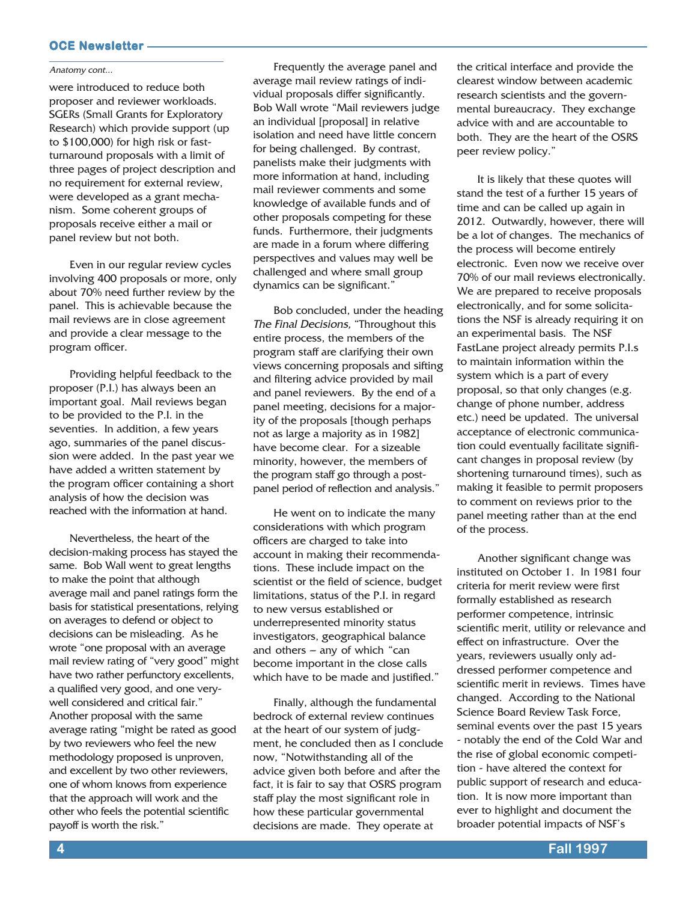Anatomy cont...

were introduced to reduce both proposer and reviewer workloads. SGERs (Small Grants for Exploratory Research) which provide support (up to \$100,000) for high risk or fastturnaround proposals with a limit of three pages of project description and no requirement for external review, were developed as a grant mechanism. Some coherent groups of proposals receive either a mail or panel review but not both.

Even in our regular review cycles involving 400 proposals or more, only about 70% need further review by the panel. This is achievable because the mail reviews are in close agreement and provide a clear message to the program officer.

Providing helpful feedback to the proposer (P.I.) has always been an important goal. Mail reviews began to be provided to the P.I. in the seventies. In addition, a few years ago, summaries of the panel discussion were added. In the past year we have added a written statement by the program officer containing a short analysis of how the decision was reached with the information at hand.

Nevertheless, the heart of the decision-making process has stayed the same. Bob Wall went to great lengths to make the point that although average mail and panel ratings form the basis for statistical presentations, relying on averages to defend or object to decisions can be misleading. As he wrote "one proposal with an average mail review rating of "very good" might have two rather perfunctory excellents, a qualified very good, and one verywell considered and critical fair." Another proposal with the same average rating "might be rated as good by two reviewers who feel the new methodology proposed is unproven, and excellent by two other reviewers, one of whom knows from experience that the approach will work and the other who feels the potential scientific payoff is worth the risk."

Frequently the average panel and average mail review ratings of individual proposals differ significantly. Bob Wall wrote "Mail reviewers judge an individual [proposal] in relative isolation and need have little concern for being challenged. By contrast, panelists make their judgments with more information at hand, including mail reviewer comments and some knowledge of available funds and of other proposals competing for these funds. Furthermore, their judgments are made in a forum where differing perspectives and values may well be challenged and where small group dynamics can be significant."

Bob concluded, under the heading The Final Decisions, "Throughout this entire process, the members of the program staff are clarifying their own views concerning proposals and sifting and filtering advice provided by mail and panel reviewers. By the end of a panel meeting, decisions for a majority of the proposals [though perhaps not as large a majority as in 1982] have become clear. For a sizeable minority, however, the members of the program staff go through a postpanel period of reflection and analysis."

He went on to indicate the many considerations with which program officers are charged to take into account in making their recommendations. These include impact on the scientist or the field of science, budget limitations, status of the P.I. in regard to new versus established or underrepresented minority status investigators, geographical balance and others  $-$  any of which "can become important in the close calls which have to be made and justified."

Finally, although the fundamental bedrock of external review continues at the heart of our system of judgment, he concluded then as I conclude now, "Notwithstanding all of the advice given both before and after the fact, it is fair to say that OSRS program staff play the most significant role in how these particular governmental decisions are made. They operate at

the critical interface and provide the clearest window between academic research scientists and the governmental bureaucracy. They exchange advice with and are accountable to both. They are the heart of the OSRS peer review policy."

It is likely that these quotes will stand the test of a further 15 years of time and can be called up again in 2012. Outwardly, however, there will be a lot of changes. The mechanics of the process will become entirely electronic. Even now we receive over 70% of our mail reviews electronically. We are prepared to receive proposals electronically, and for some solicitations the NSF is already requiring it on an experimental basis. The NSF FastLane project already permits P.I.s to maintain information within the system which is a part of every proposal, so that only changes (e.g. change of phone number, address etc.) need be updated. The universal acceptance of electronic communication could eventually facilitate significant changes in proposal review (by shortening turnaround times), such as making it feasible to permit proposers to comment on reviews prior to the panel meeting rather than at the end of the process.

Another significant change was instituted on October 1. In 1981 four criteria for merit review were first formally established as research performer competence, intrinsic scientific merit, utility or relevance and effect on infrastructure. Over the years, reviewers usually only addressed performer competence and scientific merit in reviews. Times have changed. According to the National Science Board Review Task Force, seminal events over the past 15 years - notably the end of the Cold War and the rise of global economic competition - have altered the context for public support of research and education. It is now more important than ever to highlight and document the broader potential impacts of NSF's

**4 Fall 1997**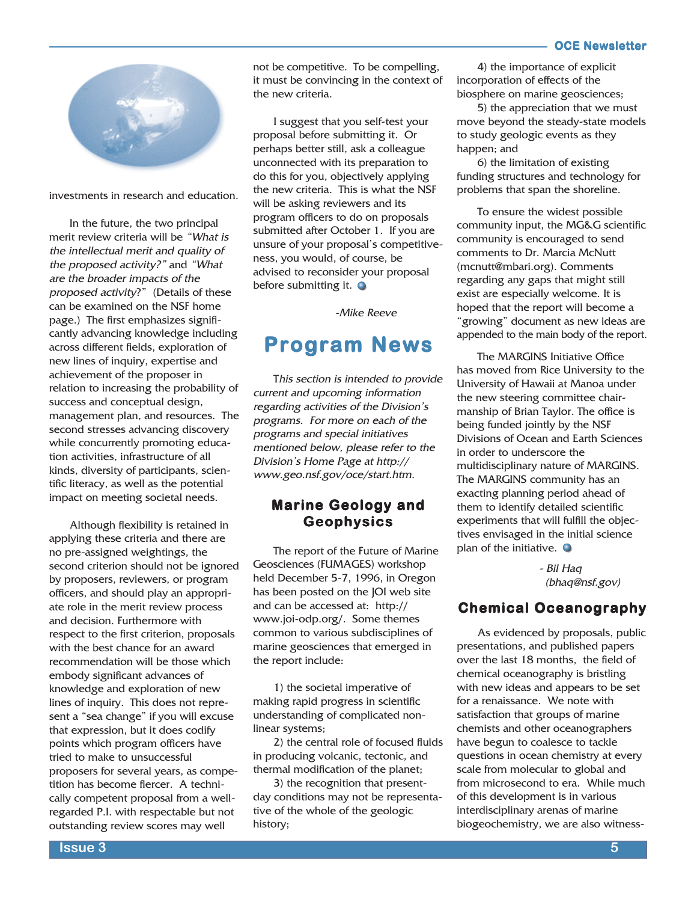

investments in research and education.

In the future, the two principal merit review criteria will be "What is the intellectual merit and quality of the proposed activity?" and "What are the broader impacts of the proposed activity?" (Details of these can be examined on the NSF home page.) The first emphasizes significantly advancing knowledge including across different fields, exploration of new lines of inquiry, expertise and achievement of the proposer in relation to increasing the probability of success and conceptual design, management plan, and resources. The second stresses advancing discovery while concurrently promoting education activities, infrastructure of all kinds, diversity of participants, scientific literacy, as well as the potential impact on meeting societal needs.

Although flexibility is retained in applying these criteria and there are no pre-assigned weightings, the second criterion should not be ignored by proposers, reviewers, or program officers, and should play an appropriate role in the merit review process and decision. Furthermore with respect to the first criterion, proposals with the best chance for an award recommendation will be those which embody significant advances of knowledge and exploration of new lines of inquiry. This does not represent a "sea change" if you will excuse that expression, but it does codify points which program officers have tried to make to unsuccessful proposers for several years, as competition has become fiercer. A technically competent proposal from a wellregarded P.I. with respectable but not outstanding review scores may well

not be competitive. To be compelling, it must be convincing in the context of the new criteria.

I suggest that you self-test your proposal before submitting it. Or perhaps better still, ask a colleague unconnected with its preparation to do this for you, objectively applying the new criteria. This is what the NSF will be asking reviewers and its program officers to do on proposals submitted after October 1. If you are unsure of your proposal's competitiveness, you would, of course, be advised to reconsider your proposal before submitting it.  $\bullet$ 

-Mike Reeve

### **Program News Program**

This section is intended to provide current and upcoming information regarding activities of the Division's programs. For more on each of the programs and special initiatives mentioned below, please refer to the Division's Home Page at http:// www.geo.nsf.gov/oce/start.htm.

### **Marine Geology and Geophysics**

The report of the Future of Marine Geosciences (FUMAGES) workshop held December 5-7, 1996, in Oregon has been posted on the JOI web site and can be accessed at: http:// www.joi-odp.org/. Some themes common to various subdisciplines of marine geosciences that emerged in the report include:

1) the societal imperative of making rapid progress in scientific understanding of complicated nonlinear systems;

2) the central role of focused fluids in producing volcanic, tectonic, and thermal modification of the planet;

3) the recognition that presentday conditions may not be representative of the whole of the geologic history;

4) the importance of explicit incorporation of effects of the biosphere on marine geosciences;

5) the appreciation that we must move beyond the steady-state models to study geologic events as they happen; and

6) the limitation of existing funding structures and technology for problems that span the shoreline.

To ensure the widest possible community input, the MG&G scientific community is encouraged to send comments to Dr. Marcia McNutt (mcnutt@mbari.org). Comments regarding any gaps that might still exist are especially welcome. It is hoped that the report will become a "growing" document as new ideas are appended to the main body of the report.

The MARGINS Initiative Office has moved from Rice University to the University of Hawaii at Manoa under the new steering committee chairmanship of Brian Taylor. The office is being funded jointly by the NSF Divisions of Ocean and Earth Sciences in order to underscore the multidisciplinary nature of MARGINS. The MARGINS community has an exacting planning period ahead of them to identify detailed scientific experiments that will fulfill the objectives envisaged in the initial science plan of the initiative.  $\bullet$ 

> - Bil Haq (bhaq@nsf.gov)

### **Chemical Oceanography**

As evidenced by proposals, public presentations, and published papers over the last 18 months, the field of chemical oceanography is bristling with new ideas and appears to be set for a renaissance. We note with satisfaction that groups of marine chemists and other oceanographers have begun to coalesce to tackle questions in ocean chemistry at every scale from molecular to global and from microsecond to era. While much of this development is in various interdisciplinary arenas of marine biogeochemistry, we are also witness-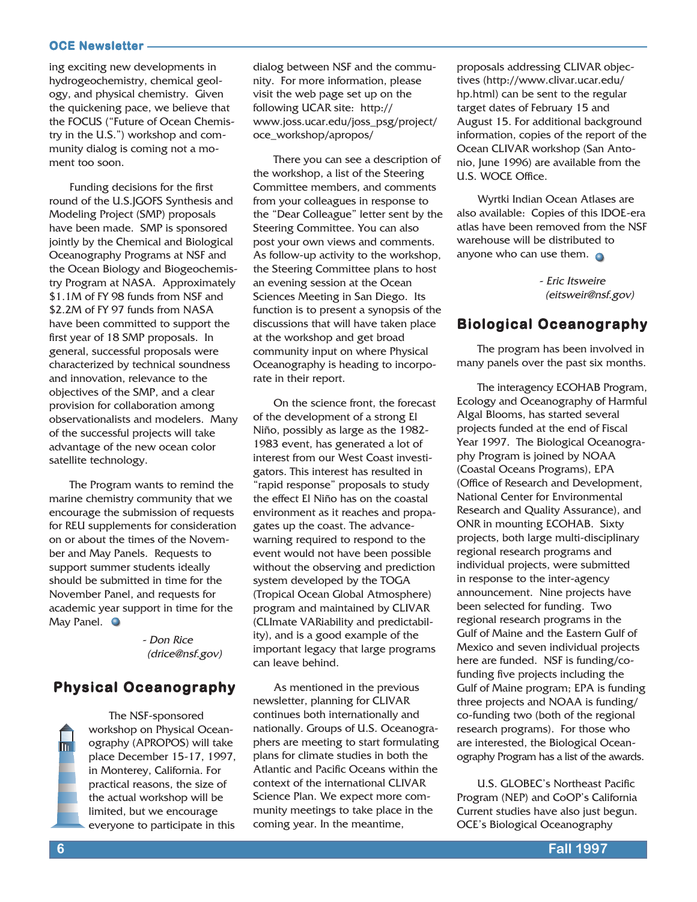ing exciting new developments in hydrogeochemistry, chemical geology, and physical chemistry. Given the quickening pace, we believe that the FOCUS ("Future of Ocean Chemistry in the U.S.") workshop and community dialog is coming not a moment too soon.

Funding decisions for the first round of the U.S.JGOFS Synthesis and Modeling Project (SMP) proposals have been made. SMP is sponsored jointly by the Chemical and Biological Oceanography Programs at NSF and the Ocean Biology and Biogeochemistry Program at NASA. Approximately \$1.1M of FY 98 funds from NSF and \$2.2M of FY 97 funds from NASA have been committed to support the first year of 18 SMP proposals. In general, successful proposals were characterized by technical soundness and innovation, relevance to the objectives of the SMP, and a clear provision for collaboration among observationalists and modelers. Many of the successful projects will take advantage of the new ocean color satellite technology.

The Program wants to remind the marine chemistry community that we encourage the submission of requests for REU supplements for consideration on or about the times of the November and May Panels. Requests to support summer students ideally should be submitted in time for the November Panel, and requests for academic year support in time for the May Panel.  $\bullet$ 

> - Don Rice (drice@nsf.gov)

### **Physical Oceanography**

The NSF-sponsored workshop on Physical Oceanography (APROPOS) will take place December 15-17, 1997, in Monterey, California. For practical reasons, the size of the actual workshop will be limited, but we encourage everyone to participate in this

dialog between NSF and the community. For more information, please visit the web page set up on the following UCAR site: http:// www.joss.ucar.edu/joss\_psg/project/ oce\_workshop/apropos/

There you can see a description of the workshop, a list of the Steering Committee members, and comments from your colleagues in response to the "Dear Colleague" letter sent by the Steering Committee. You can also post your own views and comments. As follow-up activity to the workshop, the Steering Committee plans to host an evening session at the Ocean Sciences Meeting in San Diego. Its function is to present a synopsis of the discussions that will have taken place at the workshop and get broad community input on where Physical Oceanography is heading to incorporate in their report.

On the science front, the forecast of the development of a strong El Niño, possibly as large as the 1982- 1983 event, has generated a lot of interest from our West Coast investigators. This interest has resulted in "rapid response" proposals to study the effect El Niño has on the coastal environment as it reaches and propagates up the coast. The advancewarning required to respond to the event would not have been possible without the observing and prediction system developed by the TOGA (Tropical Ocean Global Atmosphere) program and maintained by CLIVAR (CLImate VARiability and predictability), and is a good example of the important legacy that large programs can leave behind.

As mentioned in the previous newsletter, planning for CLIVAR continues both internationally and nationally. Groups of U.S. Oceanographers are meeting to start formulating plans for climate studies in both the Atlantic and Pacific Oceans within the context of the international CLIVAR Science Plan. We expect more community meetings to take place in the coming year. In the meantime,

proposals addressing CLIVAR objectives (http://www.clivar.ucar.edu/ hp.html) can be sent to the regular target dates of February 15 and August 15. For additional background information, copies of the report of the Ocean CLIVAR workshop (San Antonio, June 1996) are available from the U.S. WOCE Office.

Wyrtki Indian Ocean Atlases are also available: Copies of this IDOE-era atlas have been removed from the NSF warehouse will be distributed to anyone who can use them.  $\bullet$ 

> - Eric Itsweire (eitsweir@nsf.gov)

### **Biological Oceanography**

The program has been involved in many panels over the past six months.

The interagency ECOHAB Program, Ecology and Oceanography of Harmful Algal Blooms, has started several projects funded at the end of Fiscal Year 1997. The Biological Oceanography Program is joined by NOAA (Coastal Oceans Programs), EPA (Office of Research and Development, National Center for Environmental Research and Quality Assurance), and ONR in mounting ECOHAB. Sixty projects, both large multi-disciplinary regional research programs and individual projects, were submitted in response to the inter-agency announcement. Nine projects have been selected for funding. Two regional research programs in the Gulf of Maine and the Eastern Gulf of Mexico and seven individual projects here are funded. NSF is funding/cofunding five projects including the Gulf of Maine program; EPA is funding three projects and NOAA is funding/ co-funding two (both of the regional research programs). For those who are interested, the Biological Oceanography Program has a list of the awards.

U.S. GLOBEC's Northeast Pacific Program (NEP) and CoOP's California Current studies have also just begun. OCE's Biological Oceanography

 $\overline{\mathbf{m}}$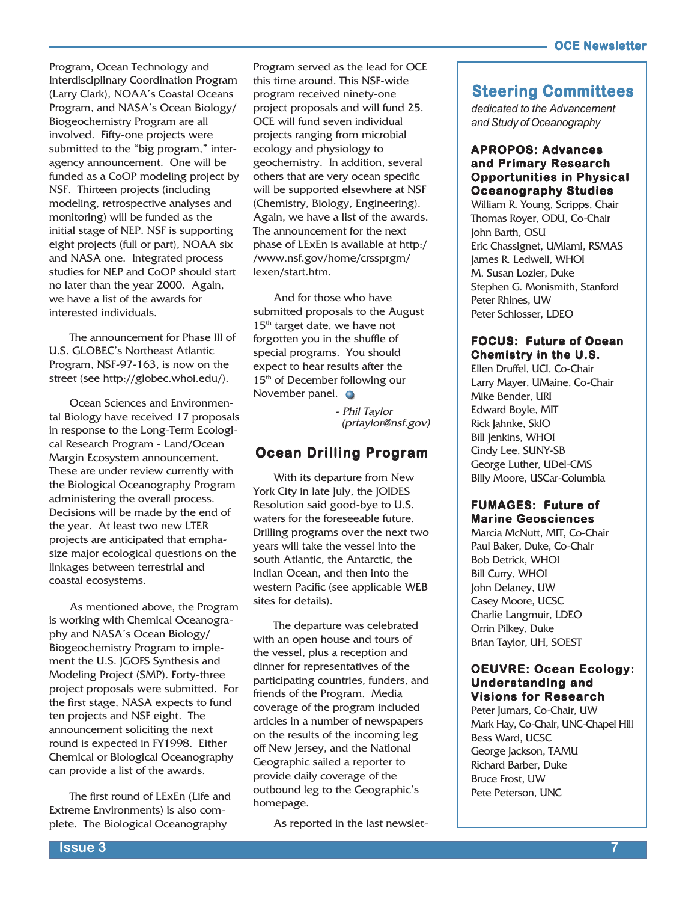Program, Ocean Technology and Interdisciplinary Coordination Program (Larry Clark), NOAA's Coastal Oceans Program, and NASA's Ocean Biology/ Biogeochemistry Program are all involved. Fifty-one projects were submitted to the "big program," interagency announcement. One will be funded as a CoOP modeling project by NSF. Thirteen projects (including modeling, retrospective analyses and monitoring) will be funded as the initial stage of NEP. NSF is supporting eight projects (full or part), NOAA six and NASA one. Integrated process studies for NEP and CoOP should start no later than the year 2000. Again, we have a list of the awards for interested individuals.

The announcement for Phase III of U.S. GLOBEC's Northeast Atlantic Program, NSF-97-163, is now on the street (see http://globec.whoi.edu/).

Ocean Sciences and Environmental Biology have received 17 proposals in response to the Long-Term Ecological Research Program - Land/Ocean Margin Ecosystem announcement. These are under review currently with the Biological Oceanography Program administering the overall process. Decisions will be made by the end of the year. At least two new LTER projects are anticipated that emphasize major ecological questions on the linkages between terrestrial and coastal ecosystems.

As mentioned above, the Program is working with Chemical Oceanography and NASA's Ocean Biology/ Biogeochemistry Program to implement the U.S. JGOFS Synthesis and Modeling Project (SMP). Forty-three project proposals were submitted. For the first stage, NASA expects to fund ten projects and NSF eight. The announcement soliciting the next round is expected in FY1998. Either Chemical or Biological Oceanography can provide a list of the awards.

The first round of LExEn (Life and Extreme Environments) is also complete. The Biological Oceanography

Program served as the lead for OCE this time around. This NSF-wide program received ninety-one project proposals and will fund 25. OCE will fund seven individual projects ranging from microbial ecology and physiology to geochemistry. In addition, several others that are very ocean specific will be supported elsewhere at NSF (Chemistry, Biology, Engineering). Again, we have a list of the awards. The announcement for the next phase of LExEn is available at http:/ /www.nsf.gov/home/crssprgm/ lexen/start.htm.

And for those who have submitted proposals to the August 15<sup>th</sup> target date, we have not forgotten you in the shuffle of special programs. You should expect to hear results after the 15<sup>th</sup> of December following our November panel.  $\bullet$ 

> - Phil Taylor (prtaylor@nsf.gov)

### **Ocean Drilling Program**

With its departure from New York City in late July, the JOIDES Resolution said good-bye to U.S. waters for the foreseeable future. Drilling programs over the next two years will take the vessel into the south Atlantic, the Antarctic, the Indian Ocean, and then into the western Pacific (see applicable WEB sites for details).

The departure was celebrated with an open house and tours of the vessel, plus a reception and dinner for representatives of the participating countries, funders, and friends of the Program. Media coverage of the program included articles in a number of newspapers on the results of the incoming leg off New Jersey, and the National Geographic sailed a reporter to provide daily coverage of the outbound leg to the Geographic's homepage.

As reported in the last newslet-

### **Steering Committees**

*dedicated to the Advancement and Study of Oceanography*

### **APROPOS: Advances and Primary Research Opportunities in Physical Opportunities in Oceanography Studies**

William R. Young, Scripps, Chair Thomas Royer, ODU, Co-Chair John Barth, OSU Eric Chassignet, UMiami, RSMAS James R. Ledwell, WHOI M. Susan Lozier, Duke Stephen G. Monismith, Stanford Peter Rhines, UW Peter Schlosser, LDEO

### **FOCUS: Future of Ocean Chemistry in the U.S. the**

Ellen Druffel, UCI, Co-Chair Larry Mayer, UMaine, Co-Chair Mike Bender, URI Edward Boyle, MIT Rick Jahnke, SkIO Bill Jenkins, WHOI Cindy Lee, SUNY-SB George Luther, UDel-CMS Billy Moore, USCar-Columbia

### **FUMAGES: Future of Marine Geosciences**

Marcia McNutt, MIT, Co-Chair Paul Baker, Duke, Co-Chair Bob Detrick, WHOI Bill Curry, WHOI John Delaney, UW Casey Moore, UCSC Charlie Langmuir, LDEO Orrin Pilkey, Duke Brian Taylor, UH, SOEST

### **OEUVRE: Ocean Ecology: Understanding and Visions for Research**

Peter Jumars, Co-Chair, UW Mark Hay, Co-Chair, UNC-Chapel Hill Bess Ward, UCSC George Jackson, TAMU Richard Barber, Duke Bruce Frost, UW Pete Peterson, UNC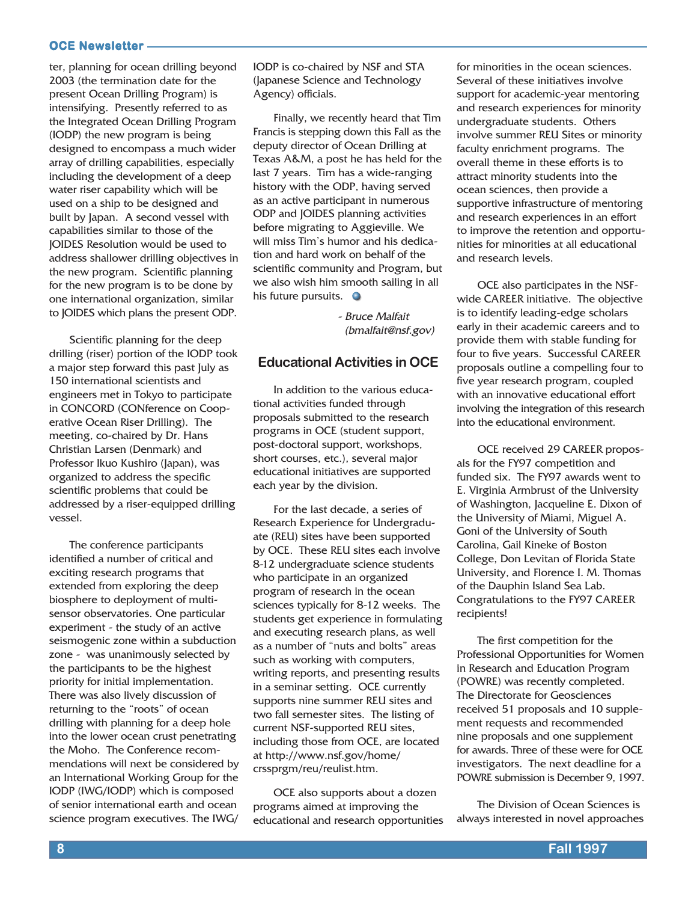ter, planning for ocean drilling beyond 2003 (the termination date for the present Ocean Drilling Program) is intensifying. Presently referred to as the Integrated Ocean Drilling Program (IODP) the new program is being designed to encompass a much wider array of drilling capabilities, especially including the development of a deep water riser capability which will be used on a ship to be designed and built by Japan. A second vessel with capabilities similar to those of the JOIDES Resolution would be used to address shallower drilling objectives in the new program. Scientific planning for the new program is to be done by one international organization, similar to JOIDES which plans the present ODP.

Scientific planning for the deep drilling (riser) portion of the IODP took a major step forward this past July as 150 international scientists and engineers met in Tokyo to participate in CONCORD (CONference on Cooperative Ocean Riser Drilling). The meeting, co-chaired by Dr. Hans Christian Larsen (Denmark) and Professor Ikuo Kushiro (Japan), was organized to address the specific scientific problems that could be addressed by a riser-equipped drilling vessel.

The conference participants identified a number of critical and exciting research programs that extended from exploring the deep biosphere to deployment of multisensor observatories. One particular experiment - the study of an active seismogenic zone within a subduction zone - was unanimously selected by the participants to be the highest priority for initial implementation. There was also lively discussion of returning to the "roots" of ocean drilling with planning for a deep hole into the lower ocean crust penetrating the Moho. The Conference recommendations will next be considered by an International Working Group for the IODP (IWG/IODP) which is composed of senior international earth and ocean science program executives. The IWG/

IODP is co-chaired by NSF and STA (Japanese Science and Technology Agency) officials.

Finally, we recently heard that Tim Francis is stepping down this Fall as the deputy director of Ocean Drilling at Texas A&M, a post he has held for the last 7 years. Tim has a wide-ranging history with the ODP, having served as an active participant in numerous ODP and JOIDES planning activities before migrating to Aggieville. We will miss Tim's humor and his dedication and hard work on behalf of the scientific community and Program, but we also wish him smooth sailing in all his future pursuits.  $\bullet$ 

> - Bruce Malfait (bmalfait@nsf.gov)

### **Educational Activities in OCE**

In addition to the various educational activities funded through proposals submitted to the research programs in OCE (student support, post-doctoral support, workshops, short courses, etc.), several major educational initiatives are supported each year by the division.

For the last decade, a series of Research Experience for Undergraduate (REU) sites have been supported by OCE. These REU sites each involve 8-12 undergraduate science students who participate in an organized program of research in the ocean sciences typically for 8-12 weeks. The students get experience in formulating and executing research plans, as well as a number of "nuts and bolts" areas such as working with computers, writing reports, and presenting results in a seminar setting. OCE currently supports nine summer REU sites and two fall semester sites. The listing of current NSF-supported REU sites, including those from OCE, are located at http://www.nsf.gov/home/ crssprgm/reu/reulist.htm.

OCE also supports about a dozen programs aimed at improving the educational and research opportunities

for minorities in the ocean sciences. Several of these initiatives involve support for academic-year mentoring and research experiences for minority undergraduate students. Others involve summer REU Sites or minority faculty enrichment programs. The overall theme in these efforts is to attract minority students into the ocean sciences, then provide a supportive infrastructure of mentoring and research experiences in an effort to improve the retention and opportunities for minorities at all educational and research levels.

OCE also participates in the NSFwide CAREER initiative. The objective is to identify leading-edge scholars early in their academic careers and to provide them with stable funding for four to five years. Successful CAREER proposals outline a compelling four to five year research program, coupled with an innovative educational effort involving the integration of this research into the educational environment.

OCE received 29 CAREER proposals for the FY97 competition and funded six. The FY97 awards went to E. Virginia Armbrust of the University of Washington, Jacqueline E. Dixon of the University of Miami, Miguel A. Goni of the University of South Carolina, Gail Kineke of Boston College, Don Levitan of Florida State University, and Florence I. M. Thomas of the Dauphin Island Sea Lab. Congratulations to the FY97 CAREER recipients!

The first competition for the Professional Opportunities for Women in Research and Education Program (POWRE) was recently completed. The Directorate for Geosciences received 51 proposals and 10 supplement requests and recommended nine proposals and one supplement for awards. Three of these were for OCE investigators. The next deadline for a POWRE submission is December 9, 1997.

The Division of Ocean Sciences is always interested in novel approaches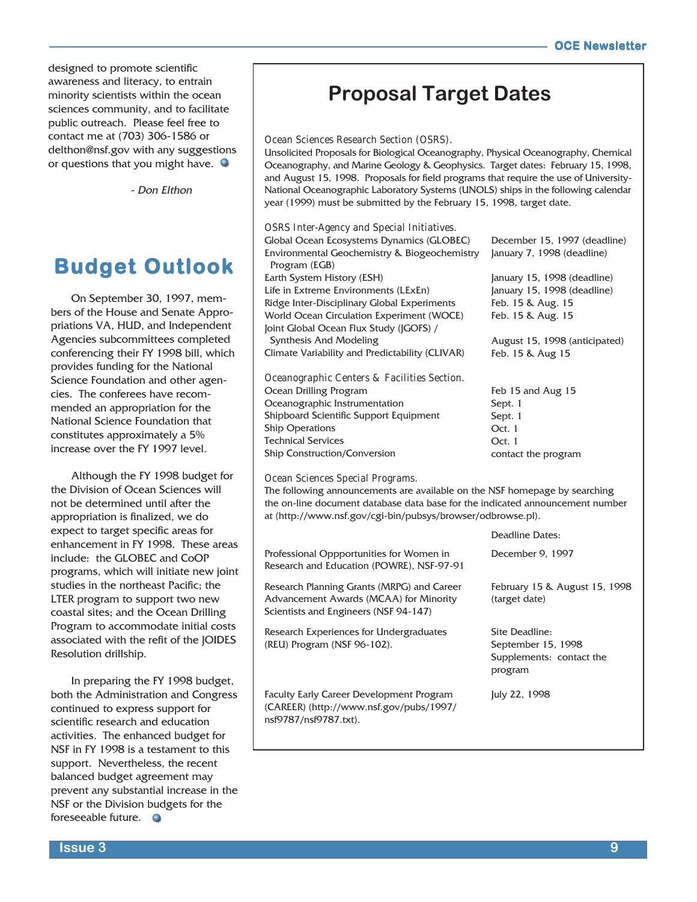designed to promote scientific awareness and literacy, to entrain minority scientists within the ocean sciences community, and to facilitate public outreach. Please feel free to contact me at (703) 306-1586 or delthon@nsf.gov with any suggestions or questions that you might have.  $\bullet$ 

- Don Elthon

# **Budget Outlook Budget**

On September 30, 1997, members of the House and Senate Appropriations VA, HUD, and Independent Agencies subcommittees completed conferencing their FY 1998 bill, which provides funding for the National Science Foundation and other agencies. The conferees have recommended an appropriation for the National Science Foundation that constitutes approximately a 5% increase over the FY 1997 level.

Although the FY 1998 budget for the Division of Ocean Sciences will not be determined until after the appropriation is finalized, we do expect to target specific areas for enhancement in FY 1998. These areas include: the GLOBEC and CoOP programs, which will initiate new joint studies in the northeast Pacific; the LTER program to support two new coastal sites; and the Ocean Drilling Program to accommodate initial costs associated with the refit of the JOIDES Resolution drillship.

In preparing the FY 1998 budget, both the Administration and Congress continued to express support for scientific research and education activities. The enhanced budget for NSF in FY 1998 is a testament to this support. Nevertheless, the recent balanced budget agreement may prevent any substantial increase in the NSF or the Division budgets for the foreseeable future.

# **Proposal Target Dates**

### Ocean Sciences Research Section (OSRS).

Unsolicited Proposals for Biological Oceanography, Physical Oceanography, Chemical Oceanography, and Marine Geology & Geophysics. Target dates: February 15, 1998, and August 15, 1998. Proposals for field programs that require the use of University-National Oceanographic Laboratory Systems (UNOLS) ships in the following calendar year (1999) must be submitted by the February 15, 1998, target date.

#### OSRS Inter-Agency and Special Initiatives.

| Global Ocean Ecosystems Dynamics (GLOBEC)        | December 15, 1997 (deadline)  |
|--------------------------------------------------|-------------------------------|
| Environmental Geochemistry & Biogeochemistry     | January 7, 1998 (deadline)    |
| Program (EGB)                                    |                               |
| Earth System History (ESH)                       | January 15, 1998 (deadline)   |
| Life in Extreme Environments (LExEn)             | January 15, 1998 (deadline)   |
| Ridge Inter-Disciplinary Global Experiments      | Feb. 15 & Aug. 15             |
| <b>World Ocean Circulation Experiment (WOCE)</b> | Feb. 15 & Aug. 15             |
| Joint Global Ocean Flux Study (JGOFS) /          |                               |
| Synthesis And Modeling                           | August 15, 1998 (anticipated) |
| Climate Variability and Predictability (CLIVAR)  | Feb. 15 & Aug 15              |
| Oceanographic Centers & Facilities Section.      |                               |
| Ocean Drilling Program                           | Feb 15 and Aug 15             |

Ocean Drilling Program Oceanographic Instrumentation Shipboard Scientific Support Equipment Ship Operations Technical Services Ship Construction/Conversion

Feb 15 and Aug 15 Sept. 1 Sept. 1 Oct. 1 Oct. 1 contact the program

#### Ocean Sciences Special Programs.

The following announcements are available on the NSF homepage by searching the on-line document database data base for the indicated announcement number at (http://www.nsf.gov/cgi-bin/pubsys/browser/odbrowse.pl).

Professional Oppportunities for Women in Research and Education (POWRE), NSF-97-91 Research Planning Grants (MRPG) and Career Advancement Awards (MCAA) for Minority Scientists and Engineers (NSF 94-147) Research Experiences for Undergraduates (REU) Program (NSF 96-102). Faculty Early Career Development Program (CAREER) (http://www.nsf.gov/pubs/1997/ nsf9787/nsf9787.txt). Deadline Dates: December 9, 1997 February 15 & August 15, 1998 (target date) Site Deadline: September 15, 1998 Supplements: contact the program July 22, 1998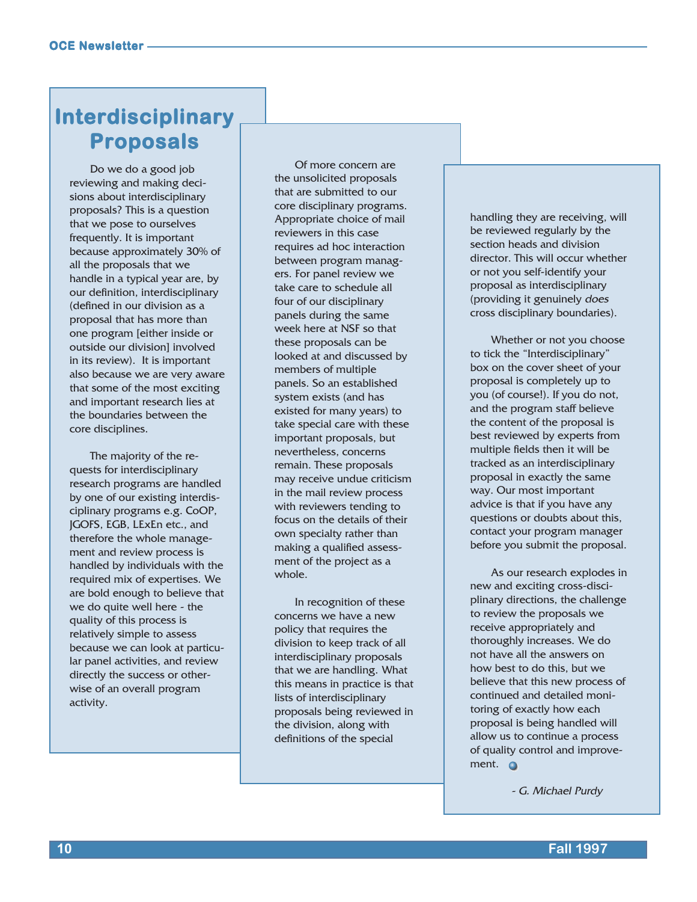# **Interdisciplinary Interdisciplinary Proposals Proposals**

Do we do a good job reviewing and making decisions about interdisciplinary proposals? This is a question that we pose to ourselves frequently. It is important because approximately 30% of all the proposals that we handle in a typical year are, by our definition, interdisciplinary (defined in our division as a proposal that has more than one program [either inside or outside our division] involved in its review). It is important also because we are very aware that some of the most exciting and important research lies at the boundaries between the core disciplines.

The majority of the requests for interdisciplinary research programs are handled by one of our existing interdisciplinary programs e.g. CoOP, JGOFS, EGB, LExEn etc., and therefore the whole management and review process is handled by individuals with the required mix of expertises. We are bold enough to believe that we do quite well here - the quality of this process is relatively simple to assess because we can look at particular panel activities, and review directly the success or otherwise of an overall program activity.

Of more concern are the unsolicited proposals that are submitted to our core disciplinary programs. Appropriate choice of mail reviewers in this case requires ad hoc interaction between program managers. For panel review we take care to schedule all four of our disciplinary panels during the same week here at NSF so that these proposals can be looked at and discussed by members of multiple panels. So an established system exists (and has existed for many years) to take special care with these important proposals, but nevertheless, concerns remain. These proposals may receive undue criticism in the mail review process with reviewers tending to focus on the details of their own specialty rather than making a qualified assessment of the project as a whole.

In recognition of these concerns we have a new policy that requires the division to keep track of all interdisciplinary proposals that we are handling. What this means in practice is that lists of interdisciplinary proposals being reviewed in the division, along with definitions of the special

handling they are receiving, will be reviewed regularly by the section heads and division director. This will occur whether or not you self-identify your proposal as interdisciplinary (providing it genuinely does cross disciplinary boundaries).

Whether or not you choose to tick the "Interdisciplinary" box on the cover sheet of your proposal is completely up to you (of course!). If you do not, and the program staff believe the content of the proposal is best reviewed by experts from multiple fields then it will be tracked as an interdisciplinary proposal in exactly the same way. Our most important advice is that if you have any questions or doubts about this, contact your program manager before you submit the proposal.

As our research explodes in new and exciting cross-disciplinary directions, the challenge to review the proposals we receive appropriately and thoroughly increases. We do not have all the answers on how best to do this, but we believe that this new process of continued and detailed monitoring of exactly how each proposal is being handled will allow us to continue a process of quality control and improvement. **O** 

- G. Michael Purdy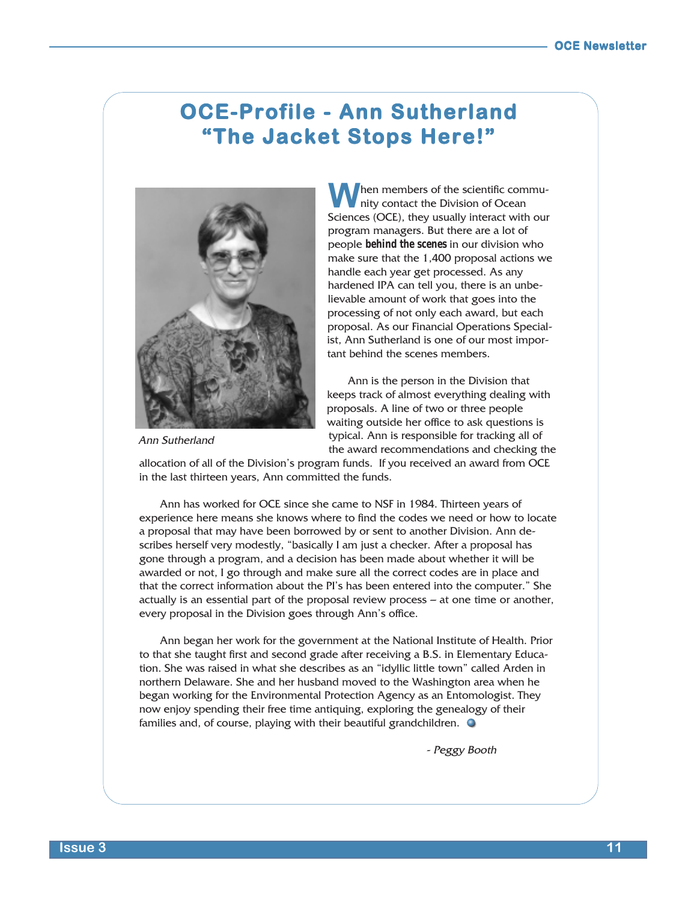## **OCE-Profile - Ann Sutherland** "The Jacket Stops Here!"



hen members of the scientific community contact the Division of Ocean **M** hen members of the scientific commu-<br>Sciences (OCE), they usually interact with our program managers. But there are a lot of people *behind the scenes* in our division who make sure that the 1,400 proposal actions we handle each year get processed. As any hardened IPA can tell you, there is an unbelievable amount of work that goes into the processing of not only each award, but each proposal. As our Financial Operations Specialist, Ann Sutherland is one of our most important behind the scenes members.

Ann is the person in the Division that keeps track of almost everything dealing with proposals. A line of two or three people waiting outside her office to ask questions is typical. Ann is responsible for tracking all of the award recommendations and checking the

Ann Sutherland

allocation of all of the Division's program funds. If you received an award from OCE in the last thirteen years, Ann committed the funds.

Ann has worked for OCE since she came to NSF in 1984. Thirteen years of experience here means she knows where to find the codes we need or how to locate a proposal that may have been borrowed by or sent to another Division. Ann describes herself very modestly, "basically I am just a checker. After a proposal has gone through a program, and a decision has been made about whether it will be awarded or not, I go through and make sure all the correct codes are in place and that the correct information about the PI's has been entered into the computer." She actually is an essential part of the proposal review process — at one time or another, every proposal in the Division goes through Ann's office.

Ann began her work for the government at the National Institute of Health. Prior to that she taught first and second grade after receiving a B.S. in Elementary Education. She was raised in what she describes as an "idyllic little town" called Arden in northern Delaware. She and her husband moved to the Washington area when he began working for the Environmental Protection Agency as an Entomologist. They now enjoy spending their free time antiquing, exploring the genealogy of their families and, of course, playing with their beautiful grandchildren.

- Peggy Booth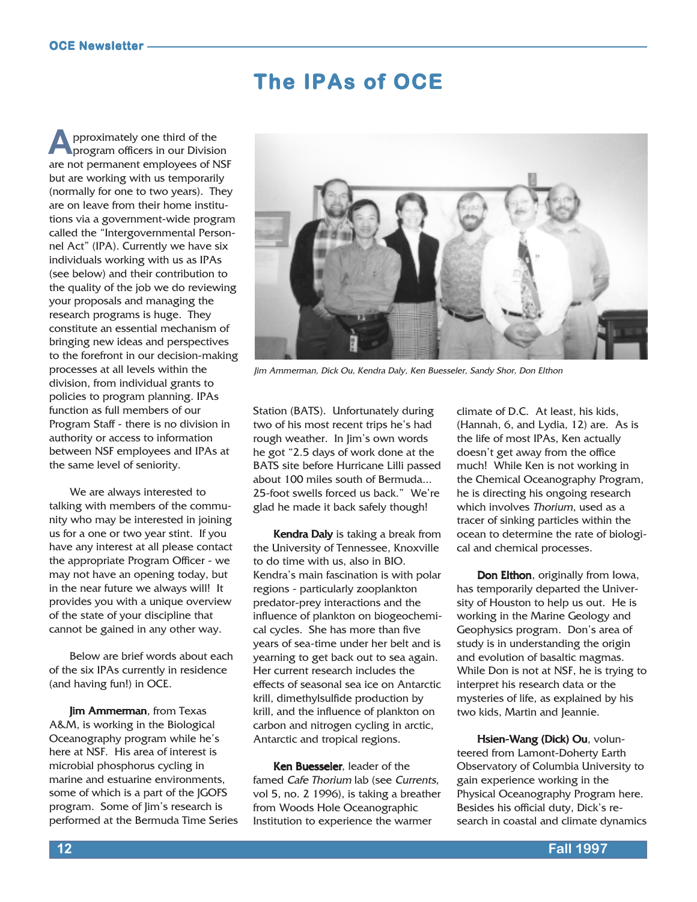# **The IPAs of OCE**

pproximately one third of the program officers in our Division are not permanent employees of NSF but are working with us temporarily (normally for one to two years). They are on leave from their home institutions via a government-wide program called the "Intergovernmental Personnel Act" (IPA). Currently we have six individuals working with us as IPAs (see below) and their contribution to the quality of the job we do reviewing your proposals and managing the research programs is huge. They constitute an essential mechanism of bringing new ideas and perspectives to the forefront in our decision-making processes at all levels within the division, from individual grants to policies to program planning. IPAs function as full members of our Program Staff - there is no division in authority or access to information between NSF employees and IPAs at the same level of seniority. **A**

We are always interested to talking with members of the community who may be interested in joining us for a one or two year stint. If you have any interest at all please contact the appropriate Program Officer - we may not have an opening today, but in the near future we always will! It provides you with a unique overview of the state of your discipline that cannot be gained in any other way.

Below are brief words about each of the six IPAs currently in residence (and having fun!) in OCE.

**Jim Ammerman, from Texas** A&M, is working in the Biological Oceanography program while he's here at NSF. His area of interest is microbial phosphorus cycling in marine and estuarine environments, some of which is a part of the JGOFS program. Some of Jim's research is performed at the Bermuda Time Series



Jim Ammerman, Dick Ou, Kendra Daly, Ken Buesseler, Sandy Shor, Don Elthon

Station (BATS). Unfortunately during two of his most recent trips he's had rough weather. In Jim's own words he got "2.5 days of work done at the BATS site before Hurricane Lilli passed about 100 miles south of Bermuda... 25-foot swells forced us back." We're glad he made it back safely though!

**Kendra Daly** is taking a break from the University of Tennessee, Knoxville to do time with us, also in BIO. Kendra's main fascination is with polar regions - particularly zooplankton predator-prey interactions and the influence of plankton on biogeochemical cycles. She has more than five years of sea-time under her belt and is yearning to get back out to sea again. Her current research includes the effects of seasonal sea ice on Antarctic krill, dimethylsulfide production by krill, and the influence of plankton on carbon and nitrogen cycling in arctic, Antarctic and tropical regions.

Ken Buesseler, leader of the famed Cafe Thorium lab (see Currents, vol 5, no. 2 1996), is taking a breather from Woods Hole Oceanographic Institution to experience the warmer

climate of D.C. At least, his kids, (Hannah, 6, and Lydia, 12) are. As is the life of most IPAs, Ken actually doesn't get away from the office much! While Ken is not working in the Chemical Oceanography Program, he is directing his ongoing research which involves Thorium, used as a tracer of sinking particles within the ocean to determine the rate of biological and chemical processes.

Don Elthon, originally from Iowa, has temporarily departed the University of Houston to help us out. He is working in the Marine Geology and Geophysics program. Don's area of study is in understanding the origin and evolution of basaltic magmas. While Don is not at NSF, he is trying to interpret his research data or the mysteries of life, as explained by his two kids, Martin and Jeannie.

Hsien-Wang (Dick) Ou, volunteered from Lamont-Doherty Earth Observatory of Columbia University to gain experience working in the Physical Oceanography Program here. Besides his official duty, Dick's research in coastal and climate dynamics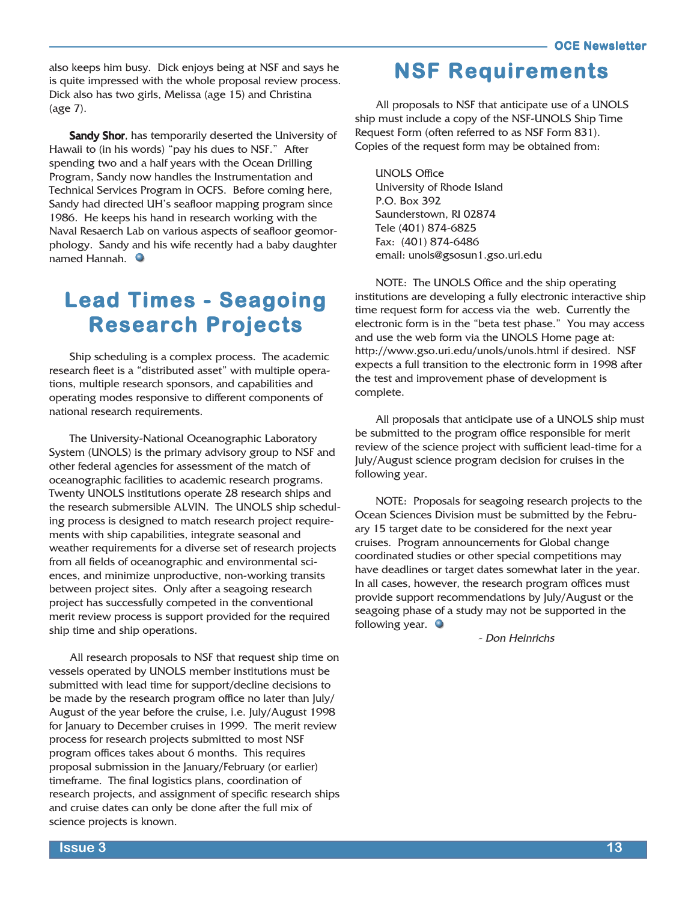also keeps him busy. Dick enjoys being at NSF and says he is quite impressed with the whole proposal review process. Dick also has two girls, Melissa (age 15) and Christina (age 7).

Sandy Shor, has temporarily deserted the University of Hawaii to (in his words) "pay his dues to NSF." After spending two and a half years with the Ocean Drilling Program, Sandy now handles the Instrumentation and Technical Services Program in OCFS. Before coming here, Sandy had directed UH's seafloor mapping program since 1986. He keeps his hand in research working with the Naval Resaerch Lab on various aspects of seafloor geomorphology. Sandy and his wife recently had a baby daughter named Hannah.

# **Lead Times - Seagoing Research Projects Research Projects**

Ship scheduling is a complex process. The academic research fleet is a "distributed asset" with multiple operations, multiple research sponsors, and capabilities and operating modes responsive to different components of national research requirements.

The University-National Oceanographic Laboratory System (UNOLS) is the primary advisory group to NSF and other federal agencies for assessment of the match of oceanographic facilities to academic research programs. Twenty UNOLS institutions operate 28 research ships and the research submersible ALVIN. The UNOLS ship scheduling process is designed to match research project requirements with ship capabilities, integrate seasonal and weather requirements for a diverse set of research projects from all fields of oceanographic and environmental sciences, and minimize unproductive, non-working transits between project sites. Only after a seagoing research project has successfully competed in the conventional merit review process is support provided for the required ship time and ship operations.

All research proposals to NSF that request ship time on vessels operated by UNOLS member institutions must be submitted with lead time for support/decline decisions to be made by the research program office no later than July/ August of the year before the cruise, i.e. July/August 1998 for January to December cruises in 1999. The merit review process for research projects submitted to most NSF program offices takes about 6 months. This requires proposal submission in the January/February (or earlier) timeframe. The final logistics plans, coordination of research projects, and assignment of specific research ships and cruise dates can only be done after the full mix of science projects is known.

### **NSF Requirements NSF Requirements**

All proposals to NSF that anticipate use of a UNOLS ship must include a copy of the NSF-UNOLS Ship Time Request Form (often referred to as NSF Form 831). Copies of the request form may be obtained from:

UNOLS Office University of Rhode Island P.O. Box 392 Saunderstown, RI 02874 Tele (401) 874-6825 Fax: (401) 874-6486 email: unols@gsosun1.gso.uri.edu

NOTE: The UNOLS Office and the ship operating institutions are developing a fully electronic interactive ship time request form for access via the web. Currently the electronic form is in the "beta test phase." You may access and use the web form via the UNOLS Home page at: http://www.gso.uri.edu/unols/unols.html if desired. NSF expects a full transition to the electronic form in 1998 after the test and improvement phase of development is complete.

All proposals that anticipate use of a UNOLS ship must be submitted to the program office responsible for merit review of the science project with sufficient lead-time for a July/August science program decision for cruises in the following year.

NOTE: Proposals for seagoing research projects to the Ocean Sciences Division must be submitted by the February 15 target date to be considered for the next year cruises. Program announcements for Global change coordinated studies or other special competitions may have deadlines or target dates somewhat later in the year. In all cases, however, the research program offices must provide support recommendations by July/August or the seagoing phase of a study may not be supported in the following year.  $\bullet$ 

- Don Heinrichs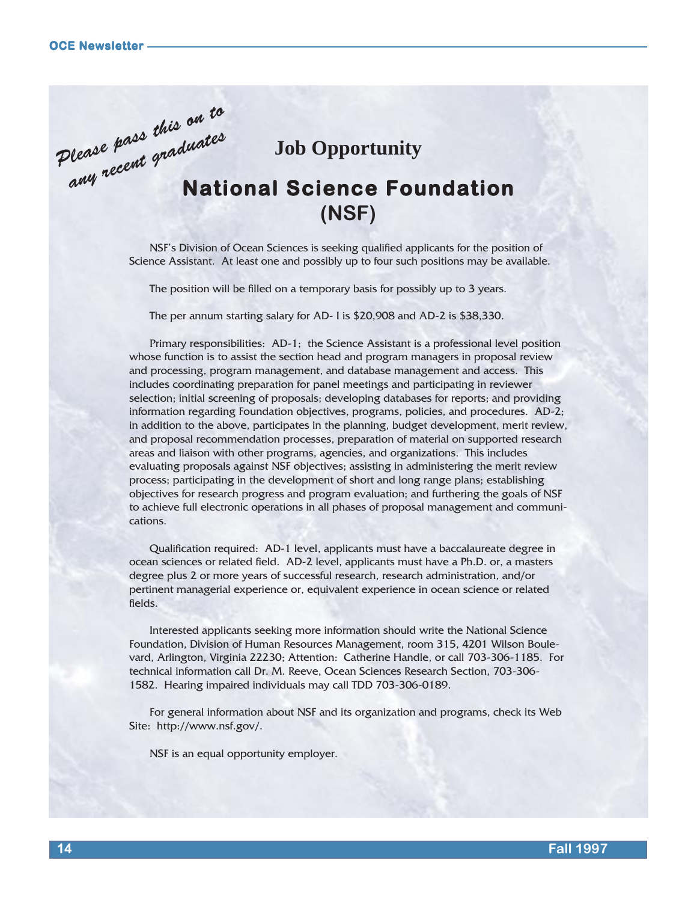Please pass this on to

## **Job Opportunity**

# **National Science Foundation (NSF)** ease pass maduates

NSF's Division of Ocean Sciences is seeking qualified applicants for the position of Science Assistant. At least one and possibly up to four such positions may be available.

The position will be filled on a temporary basis for possibly up to 3 years.

The per annum starting salary for AD- I is \$20,908 and AD-2 is \$38,330.

Primary responsibilities: AD-1; the Science Assistant is a professional level position whose function is to assist the section head and program managers in proposal review and processing, program management, and database management and access. This includes coordinating preparation for panel meetings and participating in reviewer selection; initial screening of proposals; developing databases for reports; and providing information regarding Foundation objectives, programs, policies, and procedures. AD-2; in addition to the above, participates in the planning, budget development, merit review, and proposal recommendation processes, preparation of material on supported research areas and liaison with other programs, agencies, and organizations. This includes evaluating proposals against NSF objectives; assisting in administering the merit review process; participating in the development of short and long range plans; establishing objectives for research progress and program evaluation; and furthering the goals of NSF to achieve full electronic operations in all phases of proposal management and communications.

Qualification required: AD-1 level, applicants must have a baccalaureate degree in ocean sciences or related field. AD-2 level, applicants must have a Ph.D. or, a masters degree plus 2 or more years of successful research, research administration, and/or pertinent managerial experience or, equivalent experience in ocean science or related fields.

Interested applicants seeking more information should write the National Science Foundation, Division of Human Resources Management, room 315, 4201 Wilson Boulevard, Arlington, Virginia 22230; Attention: Catherine Handle, or call 703-306-1185. For technical information call Dr. M. Reeve, Ocean Sciences Research Section, 703-306- 1582. Hearing impaired individuals may call TDD 703-306-0189.

For general information about NSF and its organization and programs, check its Web Site: http://www.nsf.gov/.

NSF is an equal opportunity employer.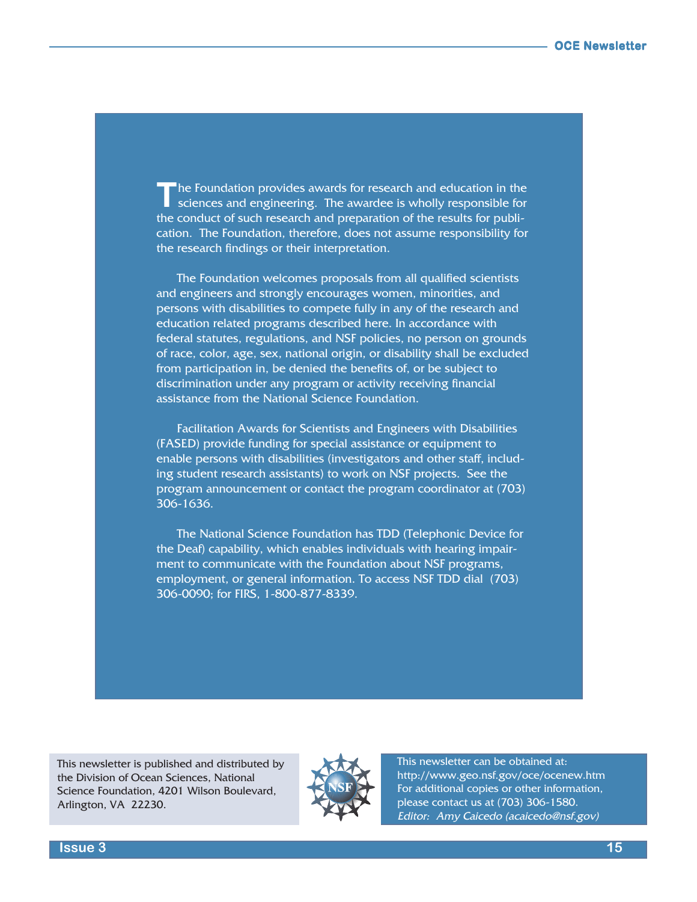he Foundation provides awards for research and education in the sciences and engineering. The awardee is wholly responsible for the conduct of such research and preparation of the results for publication. The Foundation, therefore, does not assume responsibility for the research findings or their interpretation. **T**

The Foundation welcomes proposals from all qualified scientists and engineers and strongly encourages women, minorities, and persons with disabilities to compete fully in any of the research and education related programs described here. In accordance with federal statutes, regulations, and NSF policies, no person on grounds of race, color, age, sex, national origin, or disability shall be excluded from participation in, be denied the benefits of, or be subject to discrimination under any program or activity receiving financial assistance from the National Science Foundation.

Facilitation Awards for Scientists and Engineers with Disabilities (FASED) provide funding for special assistance or equipment to enable persons with disabilities (investigators and other staff, including student research assistants) to work on NSF projects. See the program announcement or contact the program coordinator at (703) 306-1636.

The National Science Foundation has TDD (Telephonic Device for the Deaf) capability, which enables individuals with hearing impairment to communicate with the Foundation about NSF programs, employment, or general information. To access NSF TDD dial (703) 306-0090; for FIRS, 1-800-877-8339.

This newsletter is published and distributed by the Division of Ocean Sciences, National Science Foundation, 4201 Wilson Boulevard, Arlington, VA 22230.



This newsletter can be obtained at: http://www.geo.nsf.gov/oce/ocenew.htm For additional copies or other information, please contact us at (703) 306-1580. Editor: Amy Caicedo (acaicedo@nsf.gov)